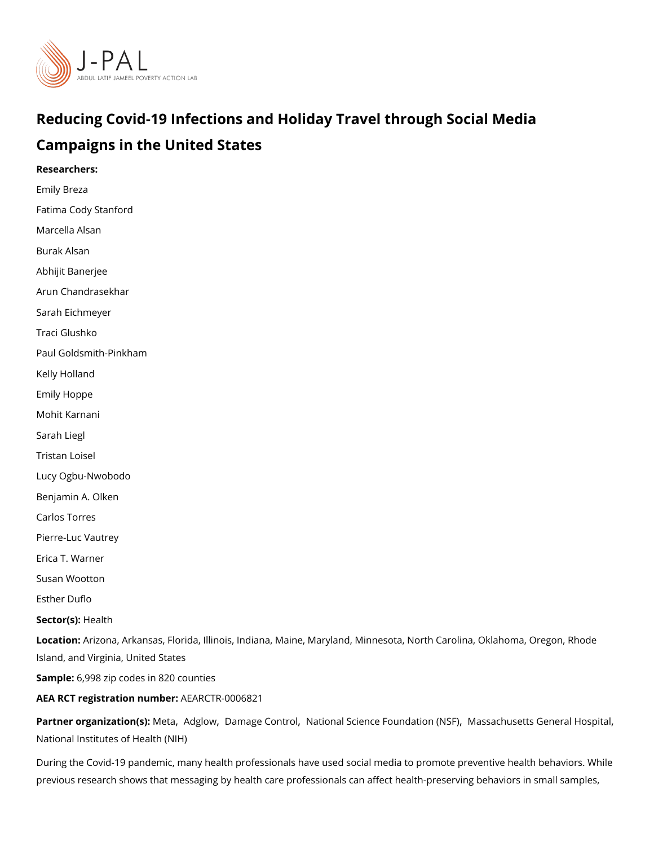# Reducing Covid-19 Infections and Holiday Travel through So Campaigns in the United States

Researchers:

[Emily B](https://www.povertyactionlab.org/person/breza)reza Fatima Cody Stanford [Marcella](https://www.povertyactionlab.org/person/alsan) Alsan Burak Alsan [Abhijit Ban](https://www.povertyactionlab.org/person/banerjee)erjee [Arun Chandra](https://www.povertyactionlab.org/person/chandrasekhar)sekhar Sarah Eichmeyer Traci Glushko Paul Goldsmith-Pinkham Kelly Holland Emily Hoppe Mohit Karnani Sarah Liegl Tristan Loisel Lucy Ogbu-Nwobodo [Benjamin A.](https://www.povertyactionlab.org/person/olken) Olken Carlos Torres Pierre-Luc Vautrey Erica T. Warner Susan Wootton [Esther D](https://www.povertyactionlab.org/person/duflo)uflo Sector(**s**)  $\ast$  alth LocatioArizona, Arkansas, Florida, Illinois, Indiana, Maine, Maryland, Minnesota, North C Island, and Virginia, United States Sample: 998 zip codes in 820 counties AEA RCT registration ArEuAnRbCeTR-0006821 Partner organizatiVicent (asA)dglowDamage Contiliza[tion](https://www.povertyactionlab.org/partners/meta)al Science Found aVitaios a (cNhSu Foltts General Hos [National Institutes of](https://www.povertyactionlab.org/partners/national-institutes-health-nih) Health (NIH)

During the Covid-19 pandemic, many health professionals have used social media to prom previous research shows that messaging by health care professionals can affect health-pr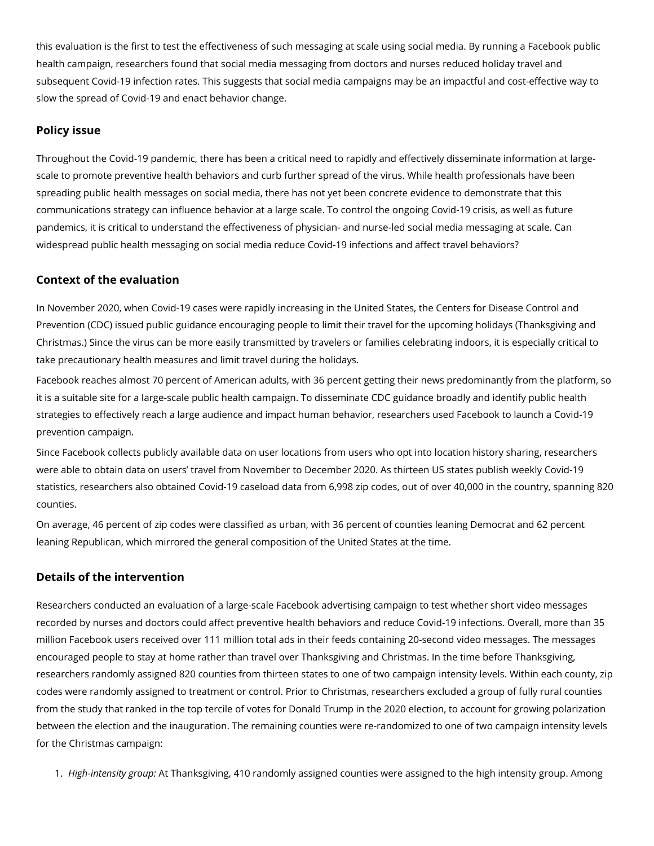this evaluation is the first to test the effectiveness of such messaging at scale using social media. By running a Facebook public health campaign, researchers found that social media messaging from doctors and nurses reduced holiday travel and subsequent Covid-19 infection rates. This suggests that social media campaigns may be an impactful and cost-effective way to slow the spread of Covid-19 and enact behavior change.

## **Policy issue**

Throughout the Covid-19 pandemic, there has been a critical need to rapidly and effectively disseminate information at largescale to promote preventive health behaviors and curb further spread of the virus. While health professionals have been spreading public health messages on social media, there has not yet been concrete evidence to demonstrate that this communications strategy can influence behavior at a large scale. To control the ongoing Covid-19 crisis, as well as future pandemics, it is critical to understand the effectiveness of physician- and nurse-led social media messaging at scale. Can widespread public health messaging on social media reduce Covid-19 infections and affect travel behaviors?

## **Context of the evaluation**

In November 2020, when Covid-19 cases were rapidly increasing in the United States, the Centers for Disease Control and Prevention (CDC) issued public guidance encouraging people to limit their travel for the upcoming holidays (Thanksgiving and Christmas.) Since the virus can be more easily transmitted by travelers or families celebrating indoors, it is especially critical to take precautionary health measures and limit travel during the holidays.

Facebook reaches almost 70 percent of American adults, with 36 percent getting their news predominantly from the platform, so it is a suitable site for a large-scale public health campaign. To disseminate CDC guidance broadly and identify public health strategies to effectively reach a large audience and impact human behavior, researchers used Facebook to launch a Covid-19 prevention campaign.

Since Facebook collects publicly available data on user locations from users who opt into location history sharing, researchers were able to obtain data on users' travel from November to December 2020. As thirteen US states publish weekly Covid-19 statistics, researchers also obtained Covid-19 caseload data from 6,998 zip codes, out of over 40,000 in the country, spanning 820 counties.

On average, 46 percent of zip codes were classified as urban, with 36 percent of counties leaning Democrat and 62 percent leaning Republican, which mirrored the general composition of the United States at the time.

## **Details of the intervention**

Researchers conducted an evaluation of a large-scale Facebook advertising campaign to test whether short video messages recorded by nurses and doctors could affect preventive health behaviors and reduce Covid-19 infections. Overall, more than 35 million Facebook users received over 111 million total ads in their feeds containing 20-second video messages. The messages encouraged people to stay at home rather than travel over Thanksgiving and Christmas. In the time before Thanksgiving, researchers randomly assigned 820 counties from thirteen states to one of two campaign intensity levels. Within each county, zip codes were randomly assigned to treatment or control. Prior to Christmas, researchers excluded a group of fully rural counties from the study that ranked in the top tercile of votes for Donald Trump in the 2020 election, to account for growing polarization between the election and the inauguration. The remaining counties were re-randomized to one of two campaign intensity levels for the Christmas campaign:

1. *High-intensity group:* At Thanksgiving, 410 randomly assigned counties were assigned to the high intensity group. Among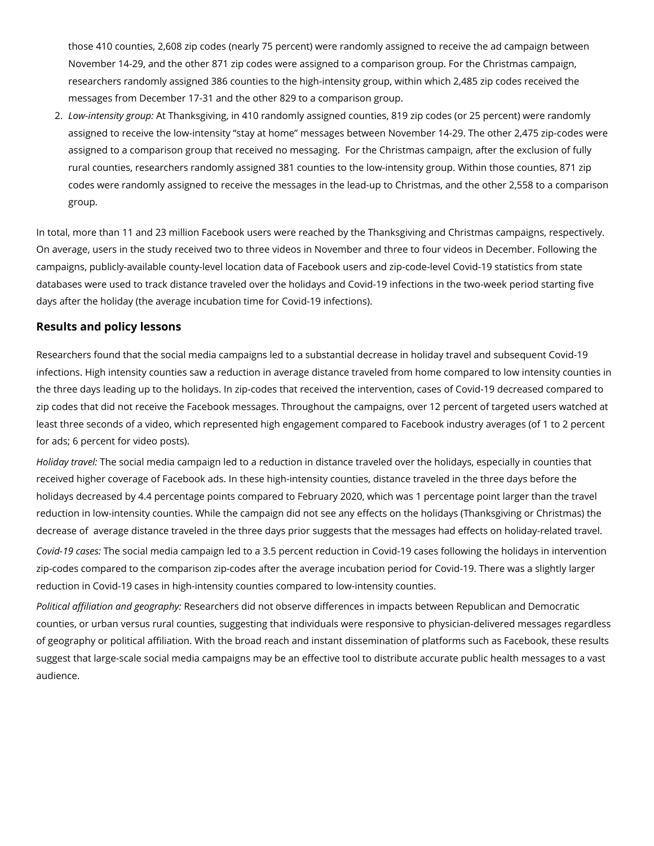those 410 counties, 2,608 zip codes (nearly 75 percent) were randomly assigned to receive the ad campaign between November 14-29, and the other 871 zip codes were assigned to a comparison group. For the Christmas campaign, researchers randomly assigned 386 counties to the high-intensity group, within which 2,485 zip codes received the messages from December 17-31 and the other 829 to a comparison group.

2. *Low-intensity group:* At Thanksgiving, in 410 randomly assigned counties, 819 zip codes (or 25 percent) were randomly assigned to receive the low-intensity "stay at home" messages between November 14-29. The other 2,475 zip-codes were assigned to a comparison group that received no messaging. For the Christmas campaign, after the exclusion of fully rural counties, researchers randomly assigned 381 counties to the low-intensity group. Within those counties, 871 zip codes were randomly assigned to receive the messages in the lead-up to Christmas, and the other 2,558 to a comparison group.

In total, more than 11 and 23 million Facebook users were reached by the Thanksgiving and Christmas campaigns, respectively. On average, users in the study received two to three videos in November and three to four videos in December. Following the campaigns, publicly-available county-level location data of Facebook users and zip-code-level Covid-19 statistics from state databases were used to track distance traveled over the holidays and Covid-19 infections in the two-week period starting five days after the holiday (the average incubation time for Covid-19 infections).

## **Results and policy lessons**

Researchers found that the social media campaigns led to a substantial decrease in holiday travel and subsequent Covid-19 infections. High intensity counties saw a reduction in average distance traveled from home compared to low intensity counties in the three days leading up to the holidays. In zip-codes that received the intervention, cases of Covid-19 decreased compared to zip codes that did not receive the Facebook messages. Throughout the campaigns, over 12 percent of targeted users watched at least three seconds of a video, which represented high engagement compared to Facebook industry averages (of 1 to 2 percent for ads; 6 percent for video posts).

*Holiday travel:* The social media campaign led to a reduction in distance traveled over the holidays, especially in counties that received higher coverage of Facebook ads. In these high-intensity counties, distance traveled in the three days before the holidays decreased by 4.4 percentage points compared to February 2020, which was 1 percentage point larger than the travel reduction in low-intensity counties. While the campaign did not see any effects on the holidays (Thanksgiving or Christmas) the decrease of average distance traveled in the three days prior suggests that the messages had effects on holiday-related travel.

*Covid-19 cases:* The social media campaign led to a 3.5 percent reduction in Covid-19 cases following the holidays in intervention zip-codes compared to the comparison zip-codes after the average incubation period for Covid-19. There was a slightly larger reduction in Covid-19 cases in high-intensity counties compared to low-intensity counties.

*Political affiliation and geography:* Researchers did not observe differences in impacts between Republican and Democratic counties, or urban versus rural counties, suggesting that individuals were responsive to physician-delivered messages regardless of geography or political affiliation. With the broad reach and instant dissemination of platforms such as Facebook, these results suggest that large-scale social media campaigns may be an effective tool to distribute accurate public health messages to a vast audience.